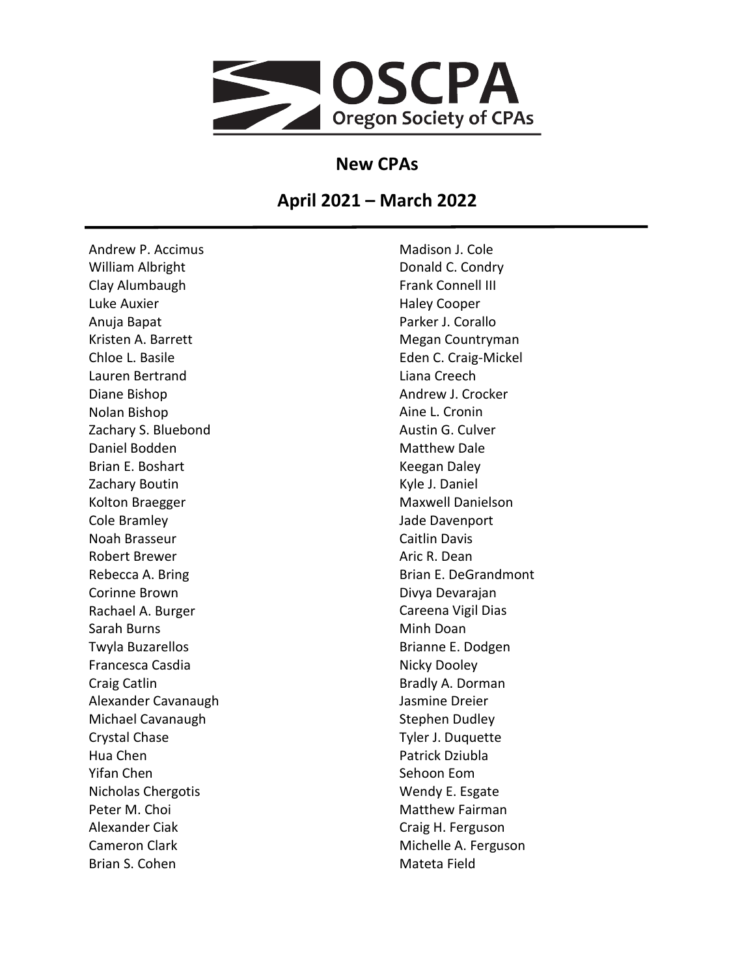

## **New CPAs**

## **April 2021 – March 2022**

Andrew P. Accimus William Albright Clay Alumbaugh Luke Auxier Anuja Bapat Kristen A. Barrett Chloe L. Basile Lauren Bertrand Diane Bishop Nolan Bishop Zachary S. Bluebond Daniel Bodden Brian E. Boshart Zachary Boutin Kolton Braegger Cole Bramley Noah Brasseur Robert Brewer Rebecca A. Bring Corinne Brown Rachael A. Burger Sarah Burns Twyla Buzarellos Francesca Casdia Craig Catlin Alexander Cavanaugh Michael Cavanaugh Crystal Chase Hua Chen Yifan Chen Nicholas Chergotis Peter M. Choi Alexander Ciak Cameron Clark Brian S. Cohen

Madison J. Cole Donald C. Condry Frank Connell III Haley Cooper Parker J. Corallo Megan Countryman Eden C. Craig-Mickel Liana Creech Andrew J. Crocker Aine L. Cronin Austin G. Culver Matthew Dale Keegan Daley Kyle J. Daniel Maxwell Danielson Jade Davenport Caitlin Davis Aric R. Dean Brian E. DeGrandmont Divya Devarajan Careena Vigil Dias Minh Doan Brianne E. Dodgen Nicky Dooley Bradly A. Dorman Jasmine Dreier Stephen Dudley Tyler J. Duquette Patrick Dziubla Sehoon Eom Wendy E. Esgate Matthew Fairman Craig H. Ferguson Michelle A. Ferguson Mateta Field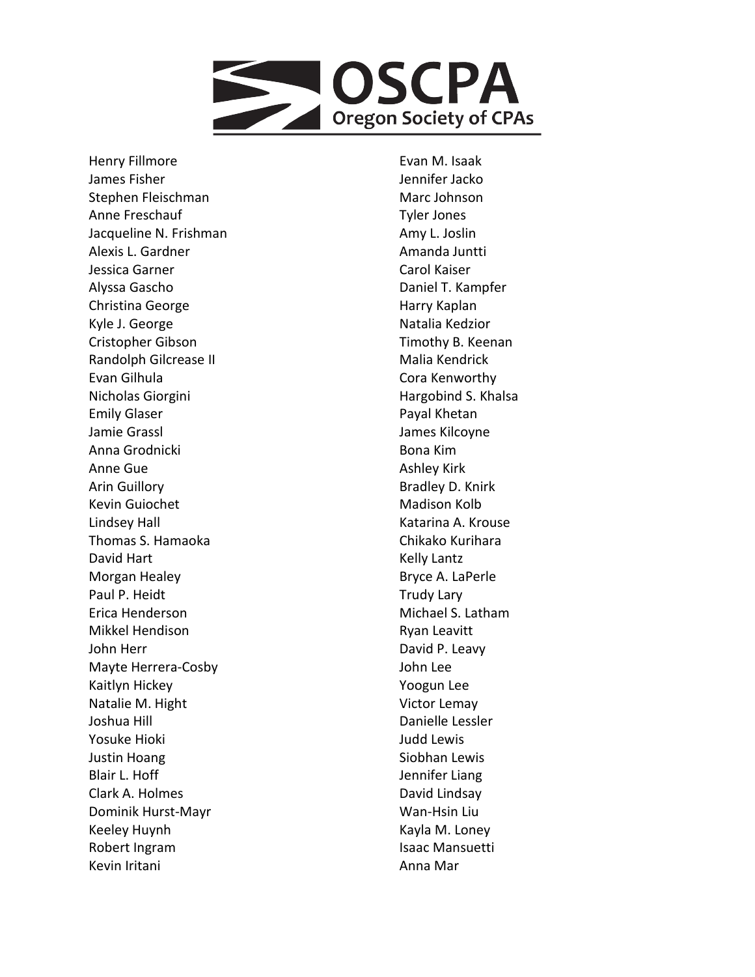

Henry Fillmore James Fisher Stephen Fleischman Anne Freschauf Jacqueline N. Frishman Alexis L. Gardner Jessica Garner Alyssa Gascho Christina George Kyle J. George Cristopher Gibson Randolph Gilcrease II Evan Gilhula Nicholas Giorgini Emily Glaser Jamie Grassl Anna Grodnicki Anne Gue Arin Guillory Kevin Guiochet Lindsey Hall Thomas S. Hamaoka David Hart Morgan Healey Paul P. Heidt Erica Henderson Mikkel Hendison John Herr Mayte Herrera -Cosby Kaitlyn Hickey Natalie M. Hight Joshua Hill Yosuke Hioki Justin Hoang Blair L. Hoff Clark A. Holmes Dominik Hurst -Mayr Keeley Huynh Robert Ingram Kevin Iritani

Evan M. Isaak Jennifer Jacko Marc Johnson Tyler Jones Amy L. Joslin Amanda Juntti Carol Kaiser Daniel T. Kampfer Harry Kaplan Natalia Kedzior Timothy B. Keenan Malia Kendrick Cora Kenworthy Hargobind S. Khalsa Payal Khetan James Kilcoyne Bona Kim Ashley Kirk Bradley D. Knirk Madison Kolb Katarina A. Krouse Chikako Kurihara Kelly Lantz Bryce A. LaPerle Trudy Lary Michael S. Latham Ryan Leavitt David P. Leavy John Lee Yoogun Lee Victor Lemay Danielle Lessler Judd Lewis Siobhan Lewis Jennifer Liang David Lindsay Wan -Hsin Liu Kayla M. Loney Isaac Mansuetti Anna Mar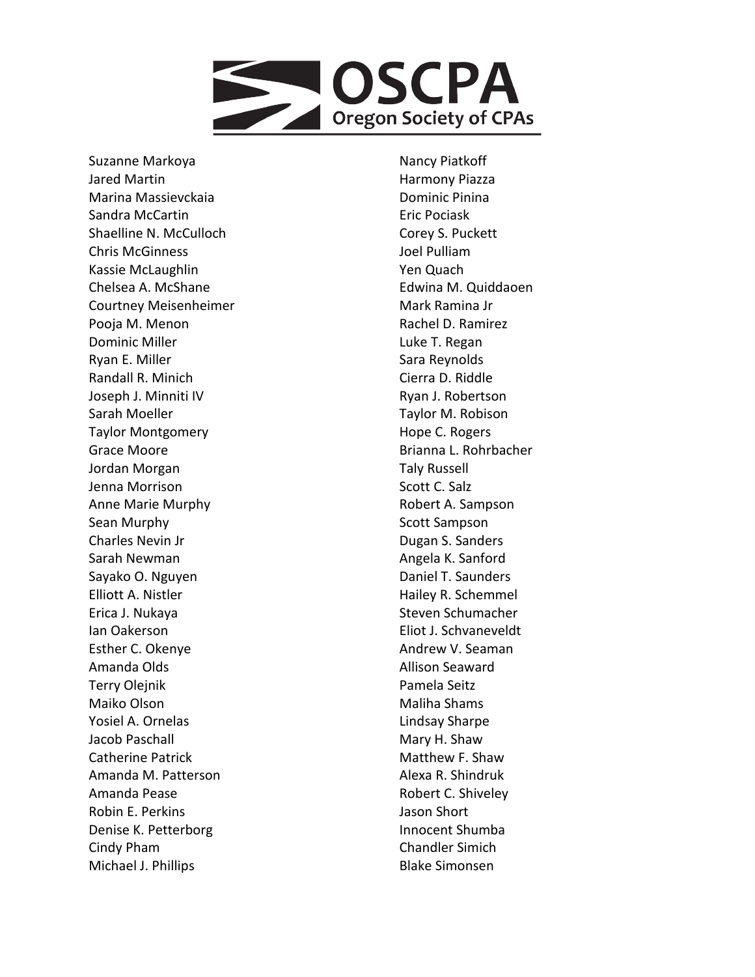

Suzanne Markoya Jared Martin Marina Massievckaia Sandra McCartin Shaelline N. McCulloch Chris McGinness Kassie McLaughlin Chelsea A. McShane Courtney Meisenheimer Pooja M. Menon Dominic Miller Ryan E. Miller Randall R. Minich Joseph J. Minniti IV Sarah Moeller Taylor Montgomery Grace Moore Jordan Morgan Jenna Morrison Anne Marie Murphy Sean Murphy Charles Nevin Jr Sarah Newman Sayako O. Nguyen Elliott A. Nistler Erica J. Nukaya Ian Oakerson Esther C. Okenye Amanda Olds Terry Olejnik Maiko Olson Yosiel A. Ornelas Jacob Paschall Catherine Patrick Amanda M. Patterson Amanda Pease Robin E. Perkins Denise K. Petterborg Cindy Pham Michael J. Phillips

Nancy Piatkoff Harmony Piazza Dominic Pinina Eric Pociask Corey S. Puckett Joel Pulliam Yen Quach Edwina M. Quiddaoen Mark Ramina Jr Rachel D. Ramirez Luke T. Regan Sara Reynolds Cierra D. Riddle Ryan J. Robertson Taylor M. Robison Hope C. Rogers Brianna L. Rohrbacher Taly Russell Scott C. Salz Robert A. Sampson Scott Sampson Dugan S. Sanders Angela K. Sanford Daniel T. Saunders Hailey R. Schemmel Steven Schumacher Eliot J. Schvaneveldt Andrew V. Seaman Allison Seaward Pamela Seitz Maliha Shams Lindsay Sharpe Mary H. Shaw Matthew F. Shaw Alexa R. Shindruk Robert C. Shiveley Jason Short Innocent Shumba Chandler Simich Blake Simonsen